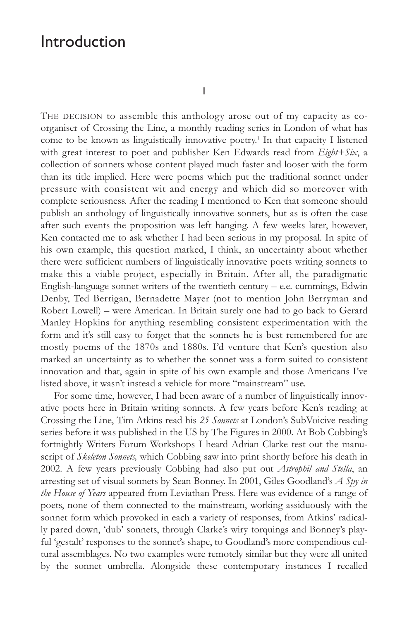# Introduction

I

THE DECISION to assemble this anthology arose out of my capacity as coorganiser of Crossing the Line, a monthly reading series in London of what has come to be known as linguistically innovative poetry.<sup>1</sup> In that capacity I listened with great interest to poet and publisher Ken Edwards read from *Eight+Six*, a collection of sonnets whose content played much faster and looser with the form than its title implied. Here were poems which put the traditional sonnet under pressure with consistent wit and energy and which did so moreover with complete seriousness. After the reading I mentioned to Ken that someone should publish an anthology of linguistically innovative sonnets, but as is often the case after such events the proposition was left hanging. A few weeks later, however, Ken contacted me to ask whether I had been serious in my proposal. In spite of his own example, this question marked, I think, an uncertainty about whether there were sufficient numbers of linguistically innovative poets writing sonnets to make this a viable project, especially in Britain. After all, the paradigmatic English-language sonnet writers of the twentieth century – e.e. cummings, Edwin Denby, Ted Berrigan, Bernadette Mayer (not to mention John Berryman and Robert Lowell) – were American. In Britain surely one had to go back to Gerard Manley Hopkins for anything resembling consistent experimentation with the form and it's still easy to forget that the sonnets he is best remembered for are mostly poems of the 1870s and 1880s. I'd venture that Ken's question also marked an uncertainty as to whether the sonnet was a form suited to consistent innovation and that, again in spite of his own example and those Americans I've listed above, it wasn't instead a vehicle for more "mainstream" use.

For some time, however, I had been aware of a number of linguistically innovative poets here in Britain writing sonnets. A few years before Ken's reading at Crossing the Line, Tim Atkins read his *25 Sonnets* at London's SubVoicive reading series before it was published in the US by The Figures in 2000. At Bob Cobbing's fortnightly Writers Forum Workshops I heard Adrian Clarke test out the manuscript of *Skeleton Sonnets,* which Cobbing saw into print shortly before his death in 2002. A few years previously Cobbing had also put out *Astrophil and Stella*, an arresting set of visual sonnets by Sean Bonney. In 2001, Giles Goodland's *A Spy in the House of Years* appeared from Leviathan Press. Here was evidence of a range of poets, none of them connected to the mainstream, working assiduously with the sonnet form which provoked in each a variety of responses, from Atkins' radically pared down, 'dub' sonnets, through Clarke's wiry torquings and Bonney's playful 'gestalt' responses to the sonnet's shape, to Goodland's more compendious cultural assemblages. No two examples were remotely similar but they were all united by the sonnet umbrella. Alongside these contemporary instances I recalled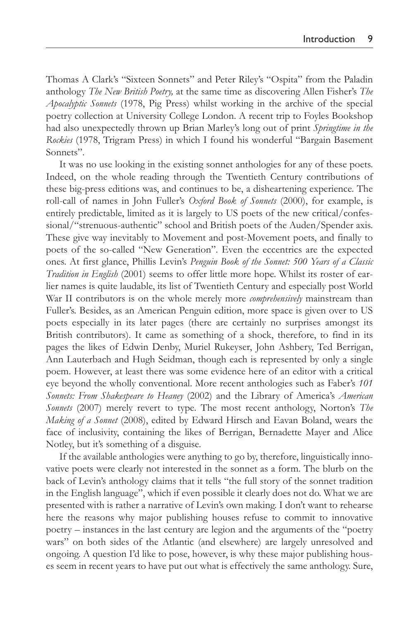Thomas A Clark's "Sixteen Sonnets" and Peter Riley's "Ospita" from the Paladin anthology *The New British Poetry,* at the same time as discovering Allen Fisher's *The Apocalyptic Sonnets* (1978, Pig Press) whilst working in the archive of the special poetry collection at University College London. A recent trip to Foyles Bookshop had also unexpectedly thrown up Brian Marley's long out of print *Springtime in the Rockies* (1978, Trigram Press) in which I found his wonderful "Bargain Basement Sonnets".

It was no use looking in the existing sonnet anthologies for any of these poets. Indeed, on the whole reading through the Twentieth Century contributions of these big-press editions was, and continues to be, a disheartening experience. The roll-call of names in John Fuller's *Oxford Book of Sonnets* (2000), for example, is entirely predictable, limited as it is largely to US poets of the new critical/confessional/"strenuous-authentic" school and British poets of the Auden/Spender axis. These give way inevitably to Movement and post-Movement poets, and finally to poets of the so-called "New Generation". Even the eccentrics are the expected ones. At first glance, Phillis Levin's *Penguin Book of the Sonnet: 500 Years of a Classic Tradition in English* (2001) seems to offer little more hope. Whilst its roster of earlier names is quite laudable, its list of Twentieth Century and especially post World War II contributors is on the whole merely more *comprehensively* mainstream than Fuller's. Besides, as an American Penguin edition, more space is given over to US poets especially in its later pages (there are certainly no surprises amongst its British contributors). It came as something of a shock, therefore, to find in its pages the likes of Edwin Denby, Muriel Rukeyser, John Ashbery, Ted Berrigan, Ann Lauterbach and Hugh Seidman, though each is represented by only a single poem. However, at least there was some evidence here of an editor with a critical eye beyond the wholly conventional. More recent anthologies such as Faber's *101 Sonnets: From Shakespeare to Heaney* (2002) and the Library of America's *American Sonnets* (2007) merely revert to type. The most recent anthology, Norton's *The Making of a Sonnet* (2008), edited by Edward Hirsch and Eavan Boland, wears the face of inclusivity, containing the likes of Berrigan, Bernadette Mayer and Alice Notley, but it's something of a disguise.

If the available anthologies were anything to go by, therefore, linguistically innovative poets were clearly not interested in the sonnet as a form. The blurb on the back of Levin's anthology claims that it tells "the full story of the sonnet tradition in the English language", which if even possible it clearly does not do. What we are presented with is rather a narrative of Levin's own making. I don't want to rehearse here the reasons why major publishing houses refuse to commit to innovative poetry – instances in the last century are legion and the arguments of the "poetry wars" on both sides of the Atlantic (and elsewhere) are largely unresolved and ongoing. A question I'd like to pose, however, is why these major publishing houses seem in recent years to have put out what is effectively the same anthology. Sure,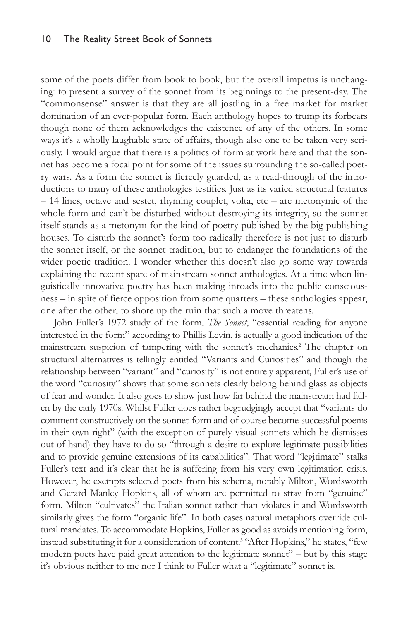some of the poets differ from book to book, but the overall impetus is unchanging: to present a survey of the sonnet from its beginnings to the present-day. The "commonsense" answer is that they are all jostling in a free market for market domination of an ever-popular form. Each anthology hopes to trump its forbears though none of them acknowledges the existence of any of the others. In some ways it's a wholly laughable state of affairs, though also one to be taken very seriously. I would argue that there is a politics of form at work here and that the sonnet has become a focal point for some of the issues surrounding the so-called poetry wars. As a form the sonnet is fiercely guarded, as a read-through of the introductions to many of these anthologies testifies. Just as its varied structural features – 14 lines, octave and sestet, rhyming couplet, volta, etc – are metonymic of the whole form and can't be disturbed without destroying its integrity, so the sonnet itself stands as a metonym for the kind of poetry published by the big publishing houses. To disturb the sonnet's form too radically therefore is not just to disturb the sonnet itself, or the sonnet tradition, but to endanger the foundations of the wider poetic tradition. I wonder whether this doesn't also go some way towards explaining the recent spate of mainstream sonnet anthologies. At a time when linguistically innovative poetry has been making inroads into the public consciousness – in spite of fierce opposition from some quarters – these anthologies appear, one after the other, to shore up the ruin that such a move threatens.

John Fuller's 1972 study of the form, *The Sonnet*, "essential reading for anyone interested in the form" according to Phillis Levin, is actually a good indication of the mainstream suspicion of tampering with the sonnet's mechanics.2 The chapter on structural alternatives is tellingly entitled "Variants and Curiosities" and though the relationship between "variant" and "curiosity" is not entirely apparent, Fuller's use of the word "curiosity" shows that some sonnets clearly belong behind glass as objects of fear and wonder. It also goes to show just how far behind the mainstream had fallen by the early 1970s. Whilst Fuller does rather begrudgingly accept that "variants do comment constructively on the sonnet-form and of course become successful poems in their own right" (with the exception of purely visual sonnets which he dismisses out of hand) they have to do so "through a desire to explore legitimate possibilities and to provide genuine extensions of its capabilities". That word "legitimate" stalks Fuller's text and it's clear that he is suffering from his very own legitimation crisis. However, he exempts selected poets from his schema, notably Milton, Wordsworth and Gerard Manley Hopkins, all of whom are permitted to stray from "genuine" form. Milton "cultivates" the Italian sonnet rather than violates it and Wordsworth similarly gives the form "organic life". In both cases natural metaphors override cultural mandates. To accommodate Hopkins, Fuller as good as avoids mentioning form, instead substituting it for a consideration of content.<sup>3</sup> "After Hopkins," he states, "few modern poets have paid great attention to the legitimate sonnet" – but by this stage it's obvious neither to me nor I think to Fuller what a "legitimate" sonnet is.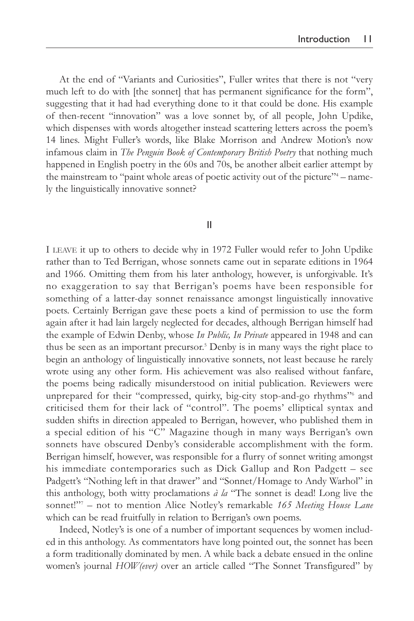At the end of "Variants and Curiosities", Fuller writes that there is not "very much left to do with [the sonnet] that has permanent significance for the form", suggesting that it had had everything done to it that could be done. His example of then-recent "innovation" was a love sonnet by, of all people, John Updike, which dispenses with words altogether instead scattering letters across the poem's 14 lines. Might Fuller's words, like Blake Morrison and Andrew Motion's now infamous claim in *The Penguin Book of Contemporary British Poetry* that nothing much happened in English poetry in the 60s and 70s, be another albeit earlier attempt by the mainstream to "paint whole areas of poetic activity out of the picture"<sup>4</sup> – namely the linguistically innovative sonnet?

#### II

I LEAVE it up to others to decide why in 1972 Fuller would refer to John Updike rather than to Ted Berrigan, whose sonnets came out in separate editions in 1964 and 1966. Omitting them from his later anthology, however, is unforgivable. It's no exaggeration to say that Berrigan's poems have been responsible for something of a latter-day sonnet renaissance amongst linguistically innovative poets. Certainly Berrigan gave these poets a kind of permission to use the form again after it had lain largely neglected for decades, although Berrigan himself had the example of Edwin Denby, whose *In Public, In Private* appeared in 1948 and can thus be seen as an important precursor.5 Denby is in many ways the right place to begin an anthology of linguistically innovative sonnets, not least because he rarely wrote using any other form. His achievement was also realised without fanfare, the poems being radically misunderstood on initial publication. Reviewers were unprepared for their "compressed, quirky, big-city stop-and-go rhythms"6 and criticised them for their lack of "control". The poems' elliptical syntax and sudden shifts in direction appealed to Berrigan, however, who published them in a special edition of his "C" Magazine though in many ways Berrigan's own sonnets have obscured Denby's considerable accomplishment with the form. Berrigan himself, however, was responsible for a flurry of sonnet writing amongst his immediate contemporaries such as Dick Gallup and Ron Padgett – see Padgett's "Nothing left in that drawer" and "Sonnet/Homage to Andy Warhol" in this anthology, both witty proclamations *à la* "The sonnet is dead! Long live the sonnet!"7 – not to mention Alice Notley's remarkable *165 Meeting House Lane* which can be read fruitfully in relation to Berrigan's own poems.

Indeed, Notley's is one of a number of important sequences by women included in this anthology. As commentators have long pointed out, the sonnet has been a form traditionally dominated by men. A while back a debate ensued in the online women's journal *HOW(ever)* over an article called "The Sonnet Transfigured" by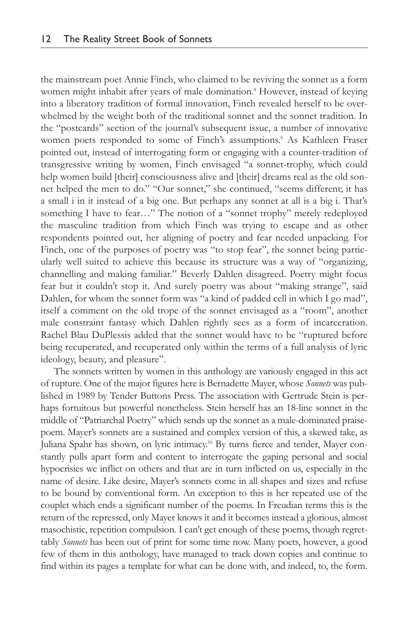the mainstream poet Annie Finch, who claimed to be reviving the sonnet as a form women might inhabit after years of male domination.<sup>8</sup> However, instead of keying into a liberatory tradition of formal innovation, Finch revealed herself to be overwhelmed by the weight both of the traditional sonnet and the sonnet tradition. In the "postcards" section of the journal's subsequent issue, a number of innovative women poets responded to some of Finch's assumptions.<sup>9</sup> As Kathleen Fraser pointed out, instead of interrogating form or engaging with a counter-tradition of transgressive writing by women, Finch envisaged "a sonnet-trophy, which could help women build [their] consciousness alive and [their] dreams real as the old sonnet helped the men to do." "Our sonnet," she continued, "seems different; it has a small i in it instead of a big one. But perhaps any sonnet at all is a big i. That's something I have to fear…" The notion of a "sonnet trophy" merely redeployed the masculine tradition from which Finch was trying to escape and as other respondents pointed out, her aligning of poetry and fear needed unpacking. For Finch, one of the purposes of poetry was "to stop fear", the sonnet being particularly well suited to achieve this because its structure was a way of "organizing, channelling and making familiar." Beverly Dahlen disagreed. Poetry might focus fear but it couldn't stop it. And surely poetry was about "making strange", said Dahlen, for whom the sonnet form was "a kind of padded cell in which I go mad", itself a comment on the old trope of the sonnet envisaged as a "room", another male constraint fantasy which Dahlen rightly sees as a form of incarceration. Rachel Blau DuPlessis added that the sonnet would have to be "ruptured before being recuperated, and recuperated only within the terms of a full analysis of lyric ideology, beauty, and pleasure".

The sonnets written by women in this anthology are variously engaged in this act of rupture. One of the major figures here is Bernadette Mayer, whose *Sonnets* was published in 1989 by Tender Buttons Press. The association with Gertrude Stein is perhaps fortuitous but powerful nonetheless. Stein herself has an 18-line sonnet in the middle of "Patriarchal Poetry" which sends up the sonnet as a male-dominated praisepoem. Mayer's sonnets are a sustained and complex version of this, a skewed take, as Juliana Spahr has shown, on lyric intimacy.<sup>10</sup> By turns fierce and tender, Mayer constantly pulls apart form and content to interrogate the gaping personal and social hypocrisies we inflict on others and that are in turn inflicted on us, especially in the name of desire. Like desire, Mayer's sonnets come in all shapes and sizes and refuse to be bound by conventional form. An exception to this is her repeated use of the couplet which ends a significant number of the poems. In Freudian terms this is the return of the repressed, only Mayer knows it and it becomes instead a glorious, almost masochistic, repetition compulsion. I can't get enough of these poems, though regrettably *Sonnets* has been out of print for some time now. Many poets, however, a good few of them in this anthology, have managed to track down copies and continue to find within its pages a template for what can be done with, and indeed, to, the form.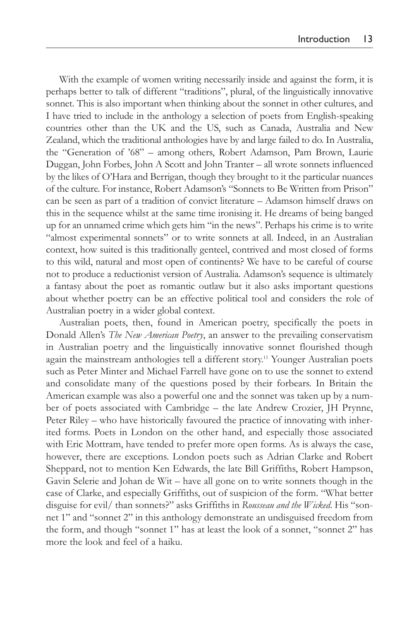With the example of women writing necessarily inside and against the form, it is perhaps better to talk of different "traditions", plural, of the linguistically innovative sonnet. This is also important when thinking about the sonnet in other cultures, and I have tried to include in the anthology a selection of poets from English-speaking countries other than the UK and the US, such as Canada, Australia and New Zealand, which the traditional anthologies have by and large failed to do. In Australia, the "Generation of '68" – among others, Robert Adamson, Pam Brown, Laurie Duggan, John Forbes, John A Scott and John Tranter – all wrote sonnets influenced by the likes of O'Hara and Berrigan, though they brought to it the particular nuances of the culture. For instance, Robert Adamson's "Sonnets to Be Written from Prison" can be seen as part of a tradition of convict literature – Adamson himself draws on this in the sequence whilst at the same time ironising it. He dreams of being banged up for an unnamed crime which gets him "in the news". Perhaps his crime is to write "almost experimental sonnets" or to write sonnets at all. Indeed, in an Australian context, how suited is this traditionally genteel, contrived and most closed of forms to this wild, natural and most open of continents? We have to be careful of course not to produce a reductionist version of Australia. Adamson's sequence is ultimately a fantasy about the poet as romantic outlaw but it also asks important questions about whether poetry can be an effective political tool and considers the role of Australian poetry in a wider global context.

Australian poets, then, found in American poetry, specifically the poets in Donald Allen's *The New American Poetry*, an answer to the prevailing conservatism in Australian poetry and the linguistically innovative sonnet flourished though again the mainstream anthologies tell a different story. <sup>11</sup> Younger Australian poets such as Peter Minter and Michael Farrell have gone on to use the sonnet to extend and consolidate many of the questions posed by their forbears. In Britain the American example was also a powerful one and the sonnet was taken up by a number of poets associated with Cambridge – the late Andrew Crozier, JH Prynne, Peter Riley – who have historically favoured the practice of innovating with inherited forms. Poets in London on the other hand, and especially those associated with Eric Mottram, have tended to prefer more open forms. As is always the case, however, there are exceptions. London poets such as Adrian Clarke and Robert Sheppard, not to mention Ken Edwards, the late Bill Griffiths, Robert Hampson, Gavin Selerie and Johan de Wit – have all gone on to write sonnets though in the case of Clarke, and especially Griffiths, out of suspicion of the form. "What better disguise for evil/ than sonnets?" asks Griffiths in *Rousseau and the Wicked*. His "sonnet 1" and "sonnet 2" in this anthology demonstrate an undisguised freedom from the form, and though "sonnet 1" has at least the look of a sonnet, "sonnet 2" has more the look and feel of a haiku.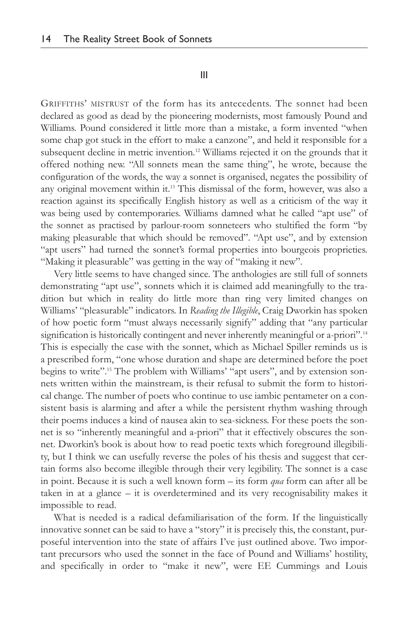### III

GRIFFITHS' MISTRUST of the form has its antecedents. The sonnet had been declared as good as dead by the pioneering modernists, most famously Pound and Williams. Pound considered it little more than a mistake, a form invented "when some chap got stuck in the effort to make a canzone", and held it responsible for a subsequent decline in metric invention.<sup>12</sup> Williams rejected it on the grounds that it offered nothing new. "All sonnets mean the same thing", he wrote, because the configuration of the words, the way a sonnet is organised, negates the possibility of any original movement within it.<sup>13</sup> This dismissal of the form, however, was also a reaction against its specifically English history as well as a criticism of the way it was being used by contemporaries. Williams damned what he called "apt use" of the sonnet as practised by parlour-room sonneteers who stultified the form "by making pleasurable that which should be removed". "Apt use", and by extension "apt users" had turned the sonnet's formal properties into bourgeois proprieties. "Making it pleasurable" was getting in the way of "making it new".

Very little seems to have changed since. The anthologies are still full of sonnets demonstrating "apt use", sonnets which it is claimed add meaningfully to the tradition but which in reality do little more than ring very limited changes on Williams' "pleasurable" indicators. In *Reading the Illegible*, Craig Dworkin has spoken of how poetic form "must always necessarily signify" adding that "any particular signification is historically contingent and never inherently meaningful or a-priori".<sup>14</sup> This is especially the case with the sonnet, which as Michael Spiller reminds us is a prescribed form, "one whose duration and shape are determined before the poet begins to write".15 The problem with Williams' "apt users", and by extension sonnets written within the mainstream, is their refusal to submit the form to historical change. The number of poets who continue to use iambic pentameter on a consistent basis is alarming and after a while the persistent rhythm washing through their poems induces a kind of nausea akin to sea-sickness. For these poets the sonnet is so "inherently meaningful and a-priori" that it effectively obscures the sonnet. Dworkin's book is about how to read poetic texts which foreground illegibility, but I think we can usefully reverse the poles of his thesis and suggest that certain forms also become illegible through their very legibility. The sonnet is a case in point. Because it is such a well known form – its form *qua* form can after all be taken in at a glance – it is overdetermined and its very recognisability makes it impossible to read.

What is needed is a radical defamiliarisation of the form. If the linguistically innovative sonnet can be said to have a "story" it is precisely this, the constant, purposeful intervention into the state of affairs I've just outlined above. Two important precursors who used the sonnet in the face of Pound and Williams' hostility, and specifically in order to "make it new", were EE Cummings and Louis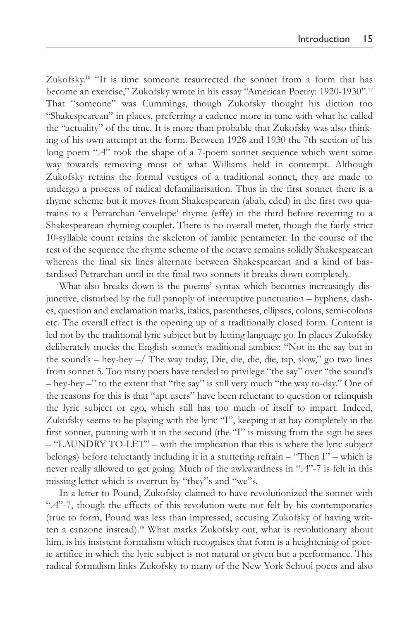Zukofsky.<sup>16</sup> "It is time someone resurrected the sonnet from a form that has become an exercise," Zukofsky wrote in his essay "American Poetry: 1920-1930".17 That "someone" was Cummings, though Zukofsky thought his diction too "Shakespearean" in places, preferring a cadence more in tune with what he called the "actuality" of the time. It is more than probable that Zukofsky was also thinking of his own attempt at the form. Between 1928 and 1930 the 7th section of his long poem "*A*" took the shape of a 7-poem sonnet sequence which went some way towards removing most of what Williams held in contempt. Although Zukofsky retains the formal vestiges of a traditional sonnet, they are made to undergo a process of radical defamiliarisation. Thus in the first sonnet there is a rhyme scheme but it moves from Shakespearean (abab, cdcd) in the first two quatrains to a Petrarchan 'envelope' rhyme (effe) in the third before reverting to a Shakespearean rhyming couplet. There is no overall meter, though the fairly strict 10-syllable count retains the skeleton of iambic pentameter. In the course of the rest of the sequence the rhyme scheme of the octave remains solidly Shakespearean whereas the final six lines alternate between Shakespearean and a kind of bastardised Petrarchan until in the final two sonnets it breaks down completely.

What also breaks down is the poems' syntax which becomes increasingly disjunctive, disturbed by the full panoply of interruptive punctuation – hyphens, dashes, question and exclamation marks, italics, parentheses, ellipses, colons, semi-colons etc. The overall effect is the opening up of a traditionally closed form. Content is led not by the traditional lyric subject but by letting language go. In places Zukofsky deliberately mocks the English sonnet's traditional iambics: "Not in the say but in the sound's – hey-hey –/ The way today, Die, die, die, die, tap, slow," go two lines from sonnet 5. Too many poets have tended to privilege "the say" over "the sound's – hey-hey –" to the extent that "the say" is still very much "the way to-day." One of the reasons for this is that "apt users" have been reluctant to question or relinquish the lyric subject or ego, which still has too much of itself to impart. Indeed, Zukofsky seems to be playing with the lyric "I", keeping it at bay completely in the first sonnet, punning with it in the second (the "I" is missing from the sign he sees – "LAUNDRY TO-LET" – with the implication that this is where the lyric subject belongs) before reluctantly including it in a stuttering refrain – "Then I" – which is never really allowed to get going. Much of the awkwardness in "*A*"-7 is felt in this missing letter which is overrun by "they"s and "we"s.

In a letter to Pound, Zukofsky claimed to have revolutionized the sonnet with "*A*"-7, though the effects of this revolution were not felt by his contemporaries (true to form, Pound was less than impressed, accusing Zukofsky of having written a canzone instead).18 What marks Zukofsky out, what is revolutionary about him, is his insistent formalism which recognises that form is a heightening of poetic artifice in which the lyric subject is not natural or given but a performance. This radical formalism links Zukofsky to many of the New York School poets and also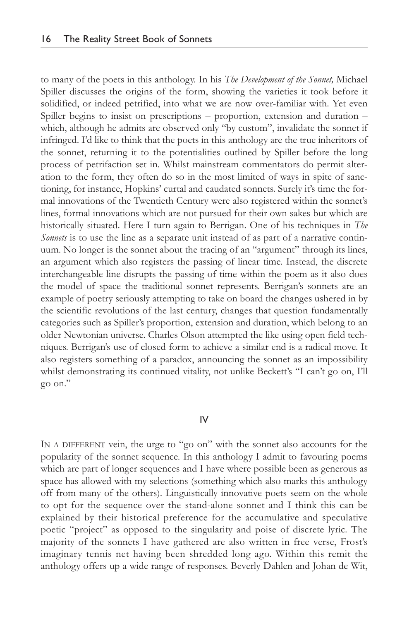to many of the poets in this anthology. In his *The Development of the Sonnet,* Michael Spiller discusses the origins of the form, showing the varieties it took before it solidified, or indeed petrified, into what we are now over-familiar with. Yet even Spiller begins to insist on prescriptions – proportion, extension and duration – which, although he admits are observed only "by custom", invalidate the sonnet if infringed. I'd like to think that the poets in this anthology are the true inheritors of the sonnet, returning it to the potentialities outlined by Spiller before the long process of petrifaction set in. Whilst mainstream commentators do permit alteration to the form, they often do so in the most limited of ways in spite of sanctioning, for instance, Hopkins' curtal and caudated sonnets. Surely it's time the formal innovations of the Twentieth Century were also registered within the sonnet's lines, formal innovations which are not pursued for their own sakes but which are historically situated. Here I turn again to Berrigan. One of his techniques in *The Sonnets* is to use the line as a separate unit instead of as part of a narrative continuum. No longer is the sonnet about the tracing of an "argument" through its lines, an argument which also registers the passing of linear time. Instead, the discrete interchangeable line disrupts the passing of time within the poem as it also does the model of space the traditional sonnet represents. Berrigan's sonnets are an example of poetry seriously attempting to take on board the changes ushered in by the scientific revolutions of the last century, changes that question fundamentally categories such as Spiller's proportion, extension and duration, which belong to an older Newtonian universe. Charles Olson attempted the like using open field techniques. Berrigan's use of closed form to achieve a similar end is a radical move. It also registers something of a paradox, announcing the sonnet as an impossibility whilst demonstrating its continued vitality, not unlike Beckett's "I can't go on, I'll go on."

## IV

IN A DIFFERENT vein, the urge to "go on" with the sonnet also accounts for the popularity of the sonnet sequence. In this anthology I admit to favouring poems which are part of longer sequences and I have where possible been as generous as space has allowed with my selections (something which also marks this anthology off from many of the others). Linguistically innovative poets seem on the whole to opt for the sequence over the stand-alone sonnet and I think this can be explained by their historical preference for the accumulative and speculative poetic "project" as opposed to the singularity and poise of discrete lyric. The majority of the sonnets I have gathered are also written in free verse, Frost's imaginary tennis net having been shredded long ago. Within this remit the anthology offers up a wide range of responses. Beverly Dahlen and Johan de Wit,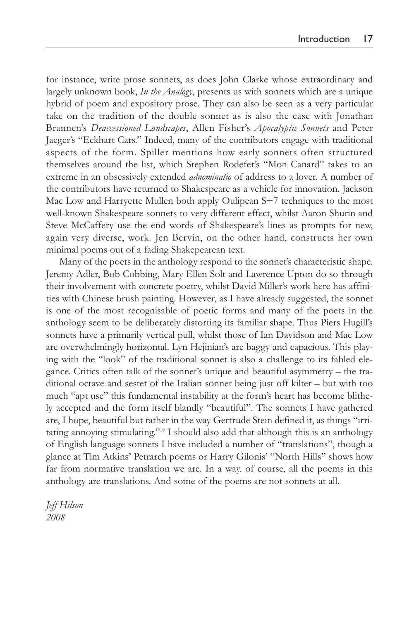for instance, write prose sonnets, as does John Clarke whose extraordinary and largely unknown book, *In the Analogy*, presents us with sonnets which are a unique hybrid of poem and expository prose. They can also be seen as a very particular take on the tradition of the double sonnet as is also the case with Jonathan Brannen's *Deaccessioned Landscapes*, Allen Fisher's *Apocalyptic Sonnets* and Peter Jaeger's "Eckhart Cars." Indeed, many of the contributors engage with traditional aspects of the form. Spiller mentions how early sonnets often structured themselves around the list, which Stephen Rodefer's "Mon Canard" takes to an extreme in an obsessively extended *adnominatio* of address to a lover. A number of the contributors have returned to Shakespeare as a vehicle for innovation. Jackson Mac Low and Harryette Mullen both apply Oulipean S+7 techniques to the most well-known Shakespeare sonnets to very different effect, whilst Aaron Shurin and Steve McCaffery use the end words of Shakespeare's lines as prompts for new, again very diverse, work. Jen Bervin, on the other hand, constructs her own minimal poems out of a fading Shakepearean text.

Many of the poets in the anthology respond to the sonnet's characteristic shape. Jeremy Adler, Bob Cobbing, Mary Ellen Solt and Lawrence Upton do so through their involvement with concrete poetry, whilst David Miller's work here has affinities with Chinese brush painting. However, as I have already suggested, the sonnet is one of the most recognisable of poetic forms and many of the poets in the anthology seem to be deliberately distorting its familiar shape. Thus Piers Hugill's sonnets have a primarily vertical pull, whilst those of Ian Davidson and Mac Low are overwhelmingly horizontal. Lyn Hejinian's are baggy and capacious. This playing with the "look" of the traditional sonnet is also a challenge to its fabled elegance. Critics often talk of the sonnet's unique and beautiful asymmetry – the traditional octave and sestet of the Italian sonnet being just off kilter – but with too much "apt use" this fundamental instability at the form's heart has become blithely accepted and the form itself blandly "beautiful". The sonnets I have gathered are, I hope, beautiful but rather in the way Gertrude Stein defined it, as things "irritating annoying stimulating."19 I should also add that although this is an anthology of English language sonnets I have included a number of "translations", though a glance at Tim Atkins' Petrarch poems or Harry Gilonis' "North Hills" shows how far from normative translation we are. In a way, of course, all the poems in this anthology are translations. And some of the poems are not sonnets at all.

*Jeff Hilson 2008*